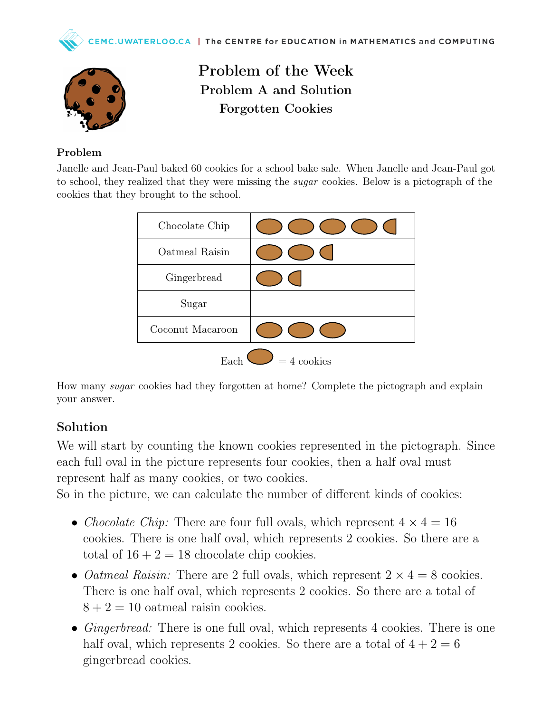



Problem of the Week Problem A and Solution Forgotten Cookies

#### Problem

Janelle and Jean-Paul baked 60 cookies for a school bake sale. When Janelle and Jean-Paul got to school, they realized that they were missing the *sugar* cookies. Below is a pictograph of the cookies that they brought to the school.

| Chocolate Chip        |  |
|-----------------------|--|
| Oatmeal Raisin        |  |
| Gingerbread           |  |
| Sugar                 |  |
| Coconut Macaroon      |  |
| $=$ 4 cookies<br>Eacl |  |

How many sugar cookies had they forgotten at home? Complete the pictograph and explain your answer.

### Solution

We will start by counting the known cookies represented in the pictograph. Since each full oval in the picture represents four cookies, then a half oval must represent half as many cookies, or two cookies.

So in the picture, we can calculate the number of different kinds of cookies:

- Chocolate Chip: There are four full ovals, which represent  $4 \times 4 = 16$ cookies. There is one half oval, which represents 2 cookies. So there are a total of  $16 + 2 = 18$  chocolate chip cookies.
- *Oatmeal Raisin:* There are 2 full ovals, which represent  $2 \times 4 = 8$  cookies. There is one half oval, which represents 2 cookies. So there are a total of  $8 + 2 = 10$  oatmeal raisin cookies.
- $Ginger bread:$  There is one full oval, which represents 4 cookies. There is one half oval, which represents 2 cookies. So there are a total of  $4 + 2 = 6$ gingerbread cookies.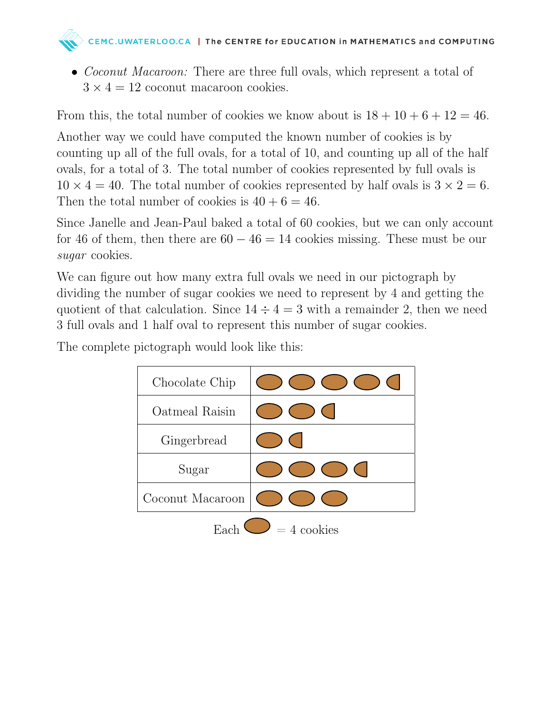## CEMC.UWATERLOO.CA | The CENTRE for EDUCATION in MATHEMATICS and COMPUTING

• *Coconut Macaroon:* There are three full ovals, which represent a total of  $3 \times 4 = 12$  coconut macaroon cookies.

From this, the total number of cookies we know about is  $18 + 10 + 6 + 12 = 46$ .

Another way we could have computed the known number of cookies is by counting up all of the full ovals, for a total of 10, and counting up all of the half ovals, for a total of 3. The total number of cookies represented by full ovals is  $10 \times 4 = 40$ . The total number of cookies represented by half ovals is  $3 \times 2 = 6$ . Then the total number of cookies is  $40 + 6 = 46$ .

Since Janelle and Jean-Paul baked a total of 60 cookies, but we can only account for 46 of them, then there are  $60 - 46 = 14$  cookies missing. These must be our sugar cookies.

We can figure out how many extra full ovals we need in our pictograph by dividing the number of sugar cookies we need to represent by 4 and getting the quotient of that calculation. Since  $14 \div 4 = 3$  with a remainder 2, then we need 3 full ovals and 1 half oval to represent this number of sugar cookies.

The complete pictograph would look like this:

| Chocolate Chip       |  |
|----------------------|--|
| Oatmeal Raisin       |  |
| Gingerbread          |  |
| Sugar                |  |
| Coconut Macaroon     |  |
| $= 4$ cookies<br>Fac |  |